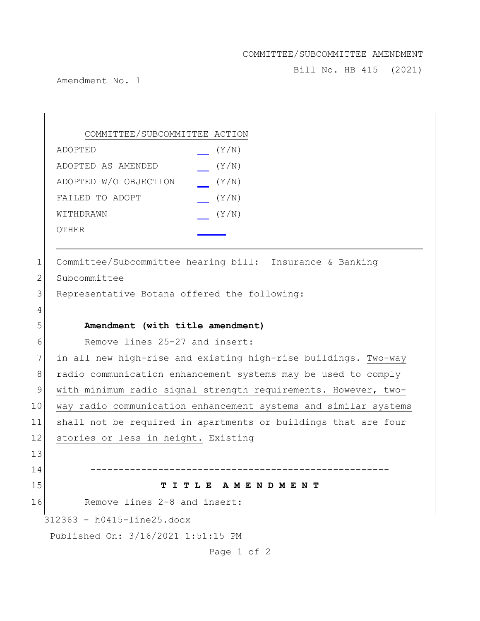## COMMITTEE/SUBCOMMITTEE AMENDMENT

Bill No. HB 415 (2021)

Amendment No. 1

312363 - h0415-line25.docx Published On: 3/16/2021 1:51:15 PM Page 1 of 2 COMMITTEE/SUBCOMMITTEE ACTION ADOPTED (Y/N) ADOPTED AS AMENDED (Y/N) ADOPTED W/O OBJECTION (Y/N) FAILED TO ADOPT  $(Y/N)$ WITHDRAWN  $(Y/N)$ OTHER 1 Committee/Subcommittee hearing bill: Insurance & Banking 2 Subcommittee 3 Representative Botana offered the following: 4 5 **Amendment (with title amendment)** 6 Remove lines 25-27 and insert: 7 in all new high-rise and existing high-rise buildings. Two-way 8 radio communication enhancement systems may be used to comply 9 with minimum radio signal strength requirements. However, two-10 way radio communication enhancement systems and similar systems 11 shall not be required in apartments or buildings that are four 12 stories or less in height. Existing 13 14 **-----------------------------------------------------** 15 **T I T L E A M E N D M E N T** 16 Remove lines 2-8 and insert: